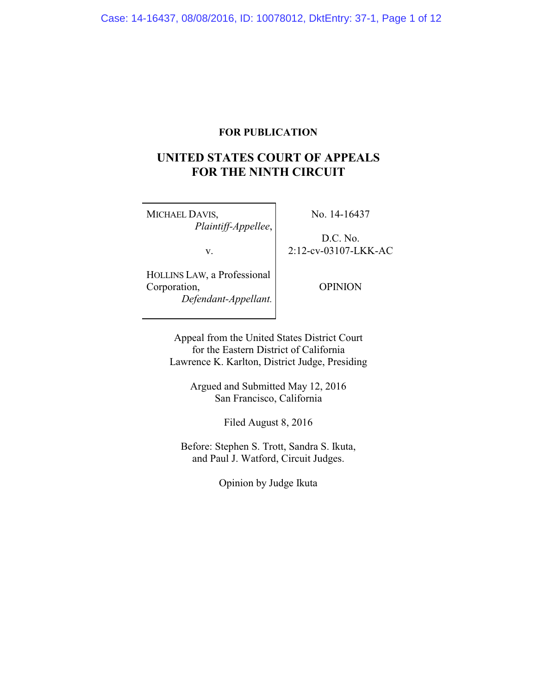# **FOR PUBLICATION**

# **UNITED STATES COURT OF APPEALS FOR THE NINTH CIRCUIT**

MICHAEL DAVIS, *Plaintiff-Appellee*,

v.

D.C. No.

2:12-cv-03107-LKK-AC

No. 14-16437

HOLLINS LAW, a Professional Corporation, *Defendant-Appellant.*

OPINION

Appeal from the United States District Court for the Eastern District of California Lawrence K. Karlton, District Judge, Presiding

> Argued and Submitted May 12, 2016 San Francisco, California

> > Filed August 8, 2016

Before: Stephen S. Trott, Sandra S. Ikuta, and Paul J. Watford, Circuit Judges.

Opinion by Judge Ikuta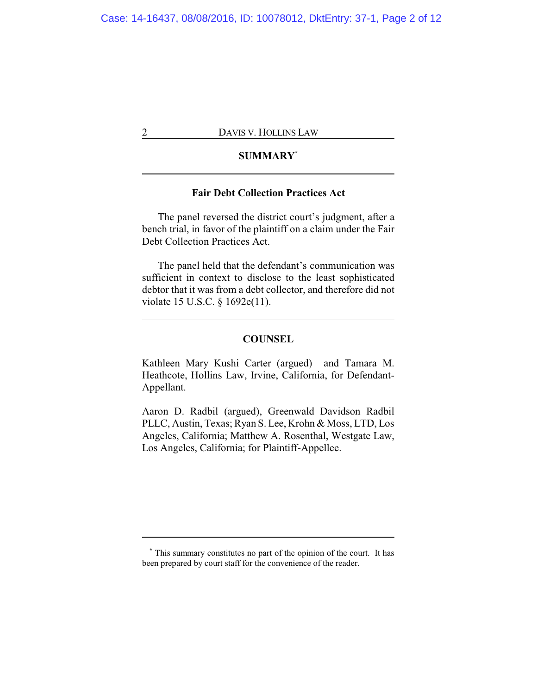# **SUMMARY\***

# **Fair Debt Collection Practices Act**

The panel reversed the district court's judgment, after a bench trial, in favor of the plaintiff on a claim under the Fair Debt Collection Practices Act.

The panel held that the defendant's communication was sufficient in context to disclose to the least sophisticated debtor that it was from a debt collector, and therefore did not violate 15 U.S.C. § 1692e(11).

### **COUNSEL**

Kathleen Mary Kushi Carter (argued) and Tamara M. Heathcote, Hollins Law, Irvine, California, for Defendant-Appellant.

Aaron D. Radbil (argued), Greenwald Davidson Radbil PLLC, Austin, Texas; Ryan S. Lee, Krohn & Moss, LTD, Los Angeles, California; Matthew A. Rosenthal, Westgate Law, Los Angeles, California; for Plaintiff-Appellee.

**<sup>\*</sup>** This summary constitutes no part of the opinion of the court. It has been prepared by court staff for the convenience of the reader.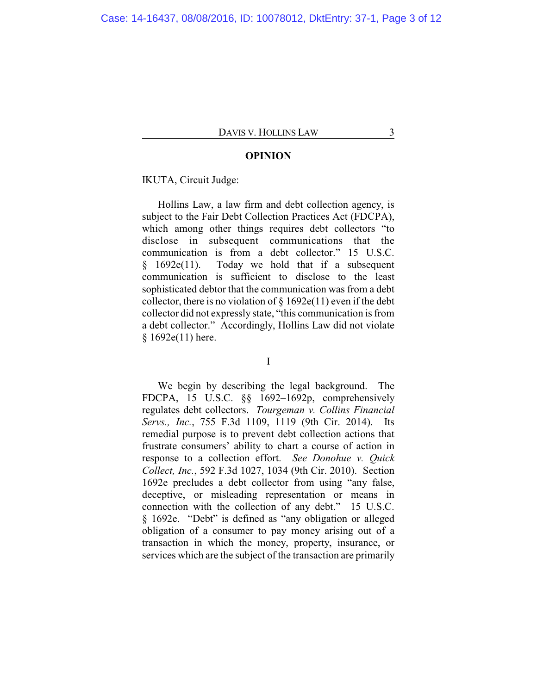#### **OPINION**

#### IKUTA, Circuit Judge:

Hollins Law, a law firm and debt collection agency, is subject to the Fair Debt Collection Practices Act (FDCPA), which among other things requires debt collectors "to disclose in subsequent communications that the communication is from a debt collector." 15 U.S.C. § 1692e(11). Today we hold that if a subsequent communication is sufficient to disclose to the least sophisticated debtor that the communication was from a debt collector, there is no violation of  $\S 1692e(11)$  even if the debt collector did not expressly state, "this communication is from a debt collector." Accordingly, Hollins Law did not violate § 1692e(11) here.

I

We begin by describing the legal background. The FDCPA, 15 U.S.C. §§ 1692–1692p, comprehensively regulates debt collectors. *Tourgeman v. Collins Financial Servs., Inc.*, 755 F.3d 1109, 1119 (9th Cir. 2014). Its remedial purpose is to prevent debt collection actions that frustrate consumers' ability to chart a course of action in response to a collection effort. *See Donohue v. Quick Collect, Inc.*, 592 F.3d 1027, 1034 (9th Cir. 2010). Section 1692e precludes a debt collector from using "any false, deceptive, or misleading representation or means in connection with the collection of any debt." 15 U.S.C. § 1692e. "Debt" is defined as "any obligation or alleged obligation of a consumer to pay money arising out of a transaction in which the money, property, insurance, or services which are the subject of the transaction are primarily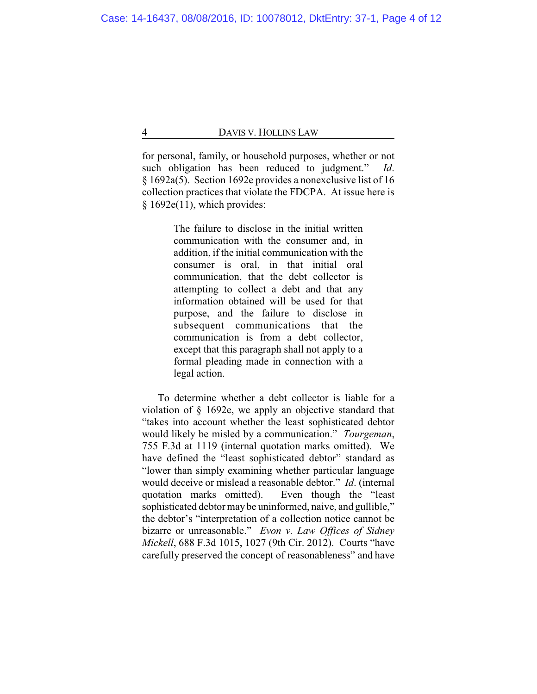for personal, family, or household purposes, whether or not such obligation has been reduced to judgment." *Id*. § 1692a(5). Section 1692e provides a nonexclusive list of 16 collection practices that violate the FDCPA. At issue here is  $§ 1692e(11)$ , which provides:

> The failure to disclose in the initial written communication with the consumer and, in addition, if the initial communication with the consumer is oral, in that initial oral communication, that the debt collector is attempting to collect a debt and that any information obtained will be used for that purpose, and the failure to disclose in subsequent communications that the communication is from a debt collector, except that this paragraph shall not apply to a formal pleading made in connection with a legal action.

To determine whether a debt collector is liable for a violation of § 1692e, we apply an objective standard that "takes into account whether the least sophisticated debtor would likely be misled by a communication." *Tourgeman*, 755 F.3d at 1119 (internal quotation marks omitted). We have defined the "least sophisticated debtor" standard as "lower than simply examining whether particular language would deceive or mislead a reasonable debtor." *Id*. (internal quotation marks omitted). Even though the "least sophisticated debtor may be uninformed, naive, and gullible," the debtor's "interpretation of a collection notice cannot be bizarre or unreasonable." *Evon v. Law Offices of Sidney Mickell*, 688 F.3d 1015, 1027 (9th Cir. 2012). Courts "have carefully preserved the concept of reasonableness" and have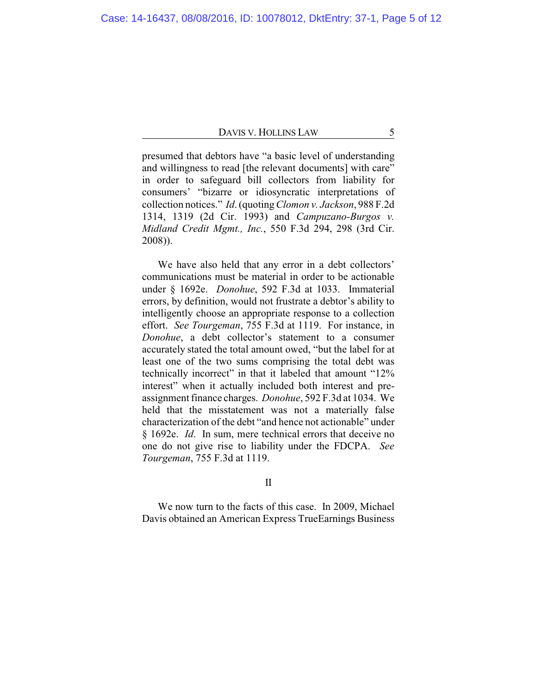presumed that debtors have "a basic level of understanding and willingness to read [the relevant documents] with care" in order to safeguard bill collectors from liability for consumers' "bizarre or idiosyncratic interpretations of collection notices." *Id*. (quoting*Clomon v. Jackson*, 988 F.2d 1314, 1319 (2d Cir. 1993) and *Campuzano-Burgos v. Midland Credit Mgmt., Inc.*, 550 F.3d 294, 298 (3rd Cir. 2008)).

We have also held that any error in a debt collectors' communications must be material in order to be actionable under § 1692e. *Donohue*, 592 F.3d at 1033. Immaterial errors, by definition, would not frustrate a debtor's ability to intelligently choose an appropriate response to a collection effort. *See Tourgeman*, 755 F.3d at 1119. For instance, in *Donohue*, a debt collector's statement to a consumer accurately stated the total amount owed, "but the label for at least one of the two sums comprising the total debt was technically incorrect" in that it labeled that amount "12% interest" when it actually included both interest and preassignment finance charges. *Donohue*, 592 F.3d at 1034. We held that the misstatement was not a materially false characterization of the debt "and hence not actionable" under § 1692e. *Id*. In sum, mere technical errors that deceive no one do not give rise to liability under the FDCPA. *See Tourgeman*, 755 F.3d at 1119.

II

We now turn to the facts of this case. In 2009, Michael Davis obtained an American Express TrueEarnings Business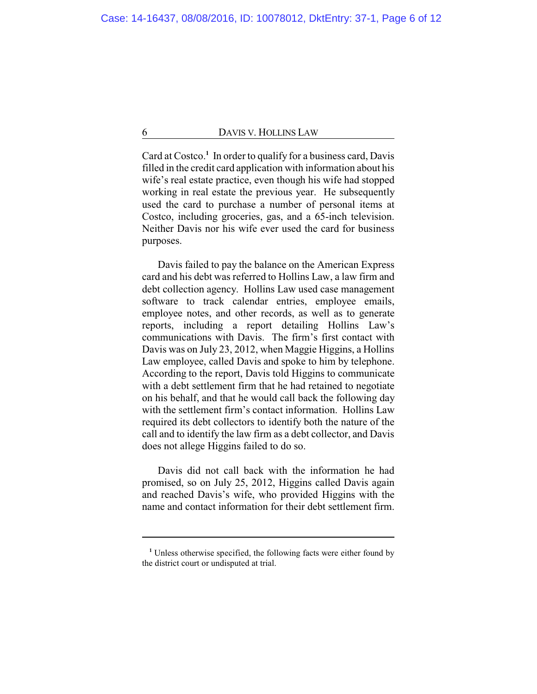Card at Costco.**<sup>1</sup>** In order to qualify for a business card, Davis filled in the credit card application with information about his wife's real estate practice, even though his wife had stopped working in real estate the previous year. He subsequently used the card to purchase a number of personal items at Costco, including groceries, gas, and a 65-inch television. Neither Davis nor his wife ever used the card for business purposes.

Davis failed to pay the balance on the American Express card and his debt was referred to Hollins Law, a law firm and debt collection agency. Hollins Law used case management software to track calendar entries, employee emails, employee notes, and other records, as well as to generate reports, including a report detailing Hollins Law's communications with Davis. The firm's first contact with Davis was on July 23, 2012, when Maggie Higgins, a Hollins Law employee, called Davis and spoke to him by telephone. According to the report, Davis told Higgins to communicate with a debt settlement firm that he had retained to negotiate on his behalf, and that he would call back the following day with the settlement firm's contact information. Hollins Law required its debt collectors to identify both the nature of the call and to identify the law firm as a debt collector, and Davis does not allege Higgins failed to do so.

Davis did not call back with the information he had promised, so on July 25, 2012, Higgins called Davis again and reached Davis's wife, who provided Higgins with the name and contact information for their debt settlement firm.

**<sup>1</sup>** Unless otherwise specified, the following facts were either found by the district court or undisputed at trial.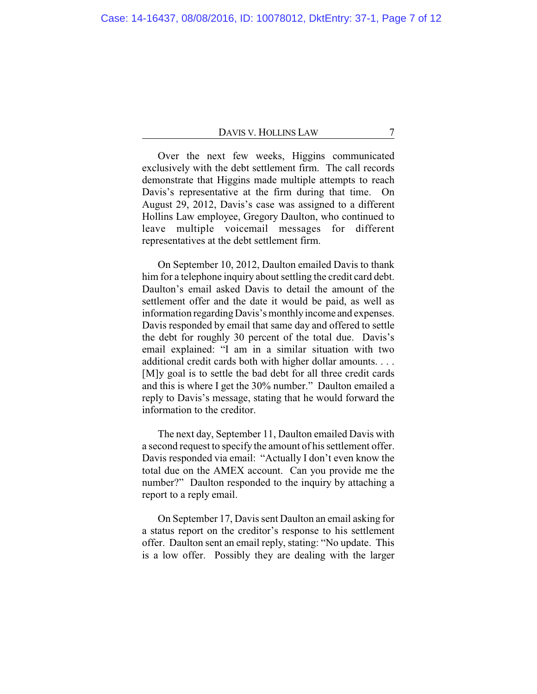Over the next few weeks, Higgins communicated exclusively with the debt settlement firm. The call records demonstrate that Higgins made multiple attempts to reach Davis's representative at the firm during that time. On August 29, 2012, Davis's case was assigned to a different Hollins Law employee, Gregory Daulton, who continued to leave multiple voicemail messages for different representatives at the debt settlement firm.

On September 10, 2012, Daulton emailed Davis to thank him for a telephone inquiry about settling the credit card debt. Daulton's email asked Davis to detail the amount of the settlement offer and the date it would be paid, as well as information regarding Davis's monthly income and expenses. Davis responded by email that same day and offered to settle the debt for roughly 30 percent of the total due. Davis's email explained: "I am in a similar situation with two additional credit cards both with higher dollar amounts. . . . [M]y goal is to settle the bad debt for all three credit cards and this is where I get the 30% number." Daulton emailed a reply to Davis's message, stating that he would forward the information to the creditor.

The next day, September 11, Daulton emailed Davis with a second request to specify the amount of his settlement offer. Davis responded via email: "Actually I don't even know the total due on the AMEX account. Can you provide me the number?" Daulton responded to the inquiry by attaching a report to a reply email.

On September 17, Davis sent Daulton an email asking for a status report on the creditor's response to his settlement offer. Daulton sent an email reply, stating: "No update. This is a low offer. Possibly they are dealing with the larger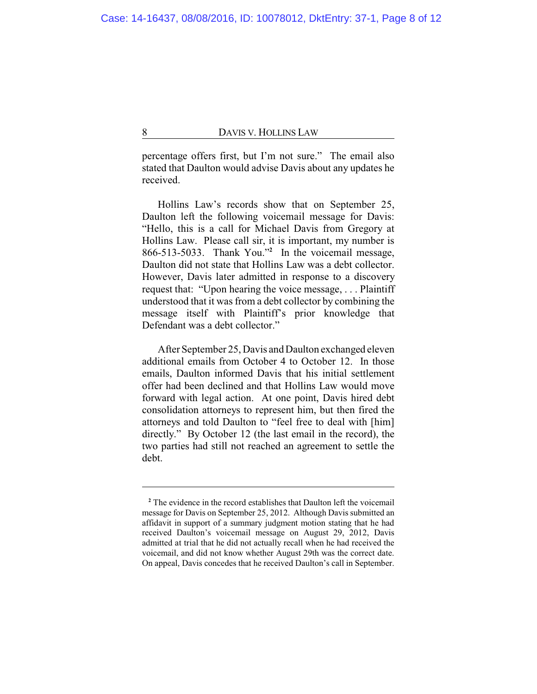percentage offers first, but I'm not sure." The email also stated that Daulton would advise Davis about any updates he received.

Hollins Law's records show that on September 25, Daulton left the following voicemail message for Davis: "Hello, this is a call for Michael Davis from Gregory at Hollins Law. Please call sir, it is important, my number is 866-513-5033. Thank You."**<sup>2</sup>** In the voicemail message, Daulton did not state that Hollins Law was a debt collector. However, Davis later admitted in response to a discovery request that: "Upon hearing the voice message, . . . Plaintiff understood that it was from a debt collector by combining the message itself with Plaintiff's prior knowledge that Defendant was a debt collector."

After September 25, Davis and Daulton exchanged eleven additional emails from October 4 to October 12. In those emails, Daulton informed Davis that his initial settlement offer had been declined and that Hollins Law would move forward with legal action. At one point, Davis hired debt consolidation attorneys to represent him, but then fired the attorneys and told Daulton to "feel free to deal with [him] directly." By October 12 (the last email in the record), the two parties had still not reached an agreement to settle the debt.

**<sup>2</sup>** The evidence in the record establishes that Daulton left the voicemail message for Davis on September 25, 2012. Although Davis submitted an affidavit in support of a summary judgment motion stating that he had received Daulton's voicemail message on August 29, 2012, Davis admitted at trial that he did not actually recall when he had received the voicemail, and did not know whether August 29th was the correct date. On appeal, Davis concedes that he received Daulton's call in September.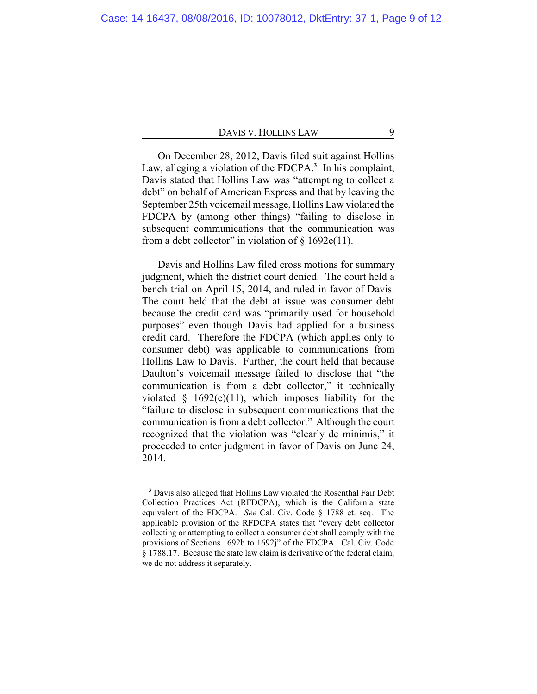On December 28, 2012, Davis filed suit against Hollins Law, alleging a violation of the FDCPA.**<sup>3</sup>** In his complaint, Davis stated that Hollins Law was "attempting to collect a debt" on behalf of American Express and that by leaving the September 25th voicemail message, Hollins Law violated the FDCPA by (among other things) "failing to disclose in subsequent communications that the communication was from a debt collector" in violation of  $\S 1692e(11)$ .

Davis and Hollins Law filed cross motions for summary judgment, which the district court denied. The court held a bench trial on April 15, 2014, and ruled in favor of Davis. The court held that the debt at issue was consumer debt because the credit card was "primarily used for household purposes" even though Davis had applied for a business credit card. Therefore the FDCPA (which applies only to consumer debt) was applicable to communications from Hollins Law to Davis. Further, the court held that because Daulton's voicemail message failed to disclose that "the communication is from a debt collector," it technically violated  $§$  1692(e)(11), which imposes liability for the "failure to disclose in subsequent communications that the communication is from a debt collector." Although the court recognized that the violation was "clearly de minimis," it proceeded to enter judgment in favor of Davis on June 24, 2014.

**<sup>3</sup>** Davis also alleged that Hollins Law violated the Rosenthal Fair Debt Collection Practices Act (RFDCPA), which is the California state equivalent of the FDCPA. *See* Cal. Civ. Code § 1788 et. seq. The applicable provision of the RFDCPA states that "every debt collector collecting or attempting to collect a consumer debt shall comply with the provisions of Sections 1692b to 1692j" of the FDCPA. Cal. Civ. Code § 1788.17. Because the state law claim is derivative of the federal claim, we do not address it separately.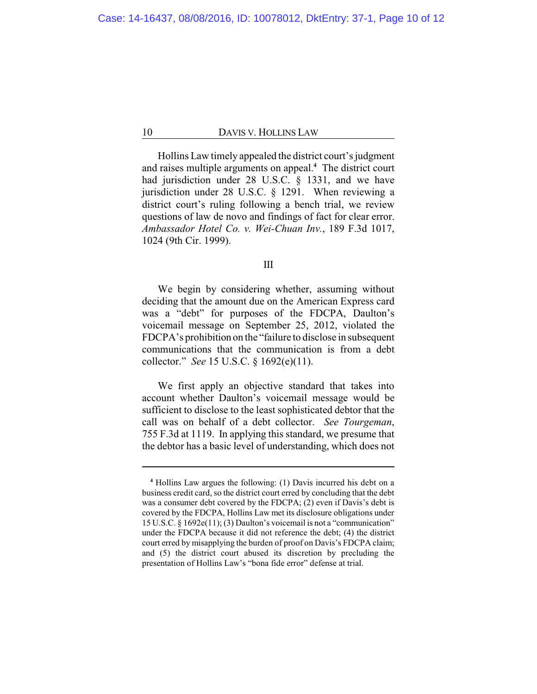Hollins Law timely appealed the district court's judgment and raises multiple arguments on appeal.**<sup>4</sup>** The district court had jurisdiction under 28 U.S.C. § 1331, and we have jurisdiction under 28 U.S.C. § 1291. When reviewing a district court's ruling following a bench trial, we review questions of law de novo and findings of fact for clear error. *Ambassador Hotel Co. v. Wei-Chuan Inv.*, 189 F.3d 1017, 1024 (9th Cir. 1999).

#### III

We begin by considering whether, assuming without deciding that the amount due on the American Express card was a "debt" for purposes of the FDCPA, Daulton's voicemail message on September 25, 2012, violated the FDCPA's prohibition on the "failure to disclose in subsequent communications that the communication is from a debt collector." *See* 15 U.S.C. § 1692(e)(11).

We first apply an objective standard that takes into account whether Daulton's voicemail message would be sufficient to disclose to the least sophisticated debtor that the call was on behalf of a debt collector. *See Tourgeman*, 755 F.3d at 1119. In applying this standard, we presume that the debtor has a basic level of understanding, which does not

**<sup>4</sup>** Hollins Law argues the following: (1) Davis incurred his debt on a business credit card, so the district court erred by concluding that the debt was a consumer debt covered by the FDCPA; (2) even if Davis's debt is covered by the FDCPA, Hollins Law met its disclosure obligations under 15 U.S.C. § 1692e(11); (3) Daulton's voicemail is not a "communication" under the FDCPA because it did not reference the debt; (4) the district court erred by misapplying the burden of proof on Davis's FDCPA claim; and (5) the district court abused its discretion by precluding the presentation of Hollins Law's "bona fide error" defense at trial.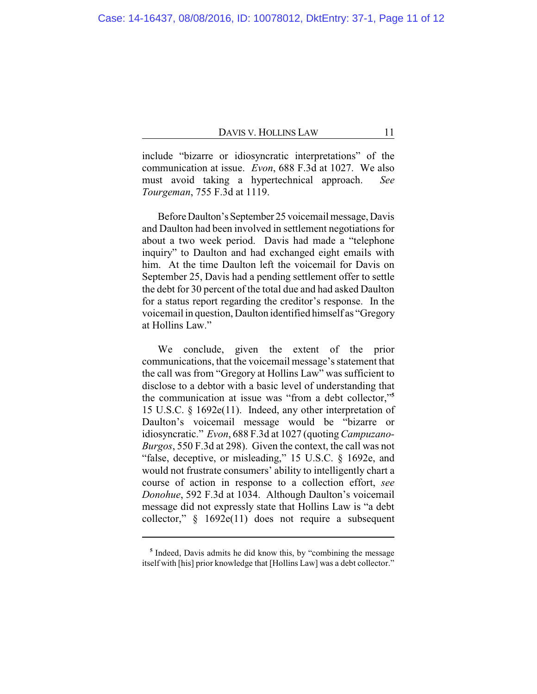include "bizarre or idiosyncratic interpretations" of the communication at issue. *Evon*, 688 F.3d at 1027. We also must avoid taking a hypertechnical approach. *See Tourgeman*, 755 F.3d at 1119.

Before Daulton's September 25 voicemail message, Davis and Daulton had been involved in settlement negotiations for about a two week period. Davis had made a "telephone inquiry" to Daulton and had exchanged eight emails with him. At the time Daulton left the voicemail for Davis on September 25, Davis had a pending settlement offer to settle the debt for 30 percent of the total due and had asked Daulton for a status report regarding the creditor's response. In the voicemail in question, Daulton identified himself as "Gregory at Hollins Law."

We conclude, given the extent of the prior communications, that the voicemail message's statement that the call was from "Gregory at Hollins Law" was sufficient to disclose to a debtor with a basic level of understanding that the communication at issue was "from a debt collector,"**<sup>5</sup>** 15 U.S.C. § 1692e(11). Indeed, any other interpretation of Daulton's voicemail message would be "bizarre or idiosyncratic." *Evon*, 688 F.3d at 1027 (quoting*Campuzano-Burgos*, 550 F.3d at 298). Given the context, the call was not "false, deceptive, or misleading," 15 U.S.C. § 1692e, and would not frustrate consumers' ability to intelligently chart a course of action in response to a collection effort, *see Donohue*, 592 F.3d at 1034. Although Daulton's voicemail message did not expressly state that Hollins Law is "a debt collector,"  $§$  1692e(11) does not require a subsequent

<sup>&</sup>lt;sup>5</sup> Indeed, Davis admits he did know this, by "combining the message itself with [his] prior knowledge that [Hollins Law] was a debt collector."